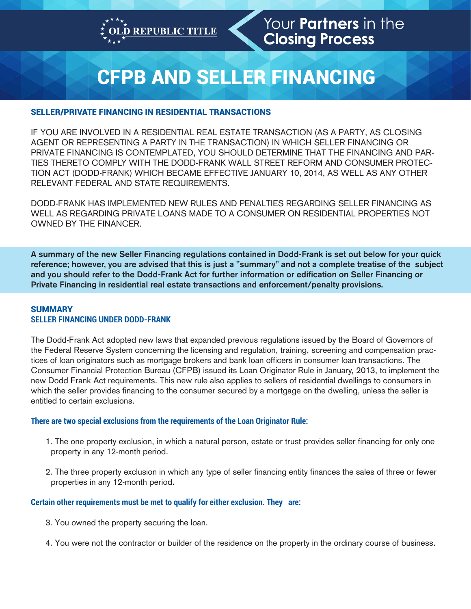

## CFPB AND SELLER FINANCING

### SELLER/PRIVATE FINANCING IN RESIDENTIAL TRANSACTIONS

IF YOU ARE INVOLVED IN A RESIDENTIAL REAL ESTATE TRANSACTION (AS A PARTY, AS CLOSING AGENT OR REPRESENTING A PARTY IN THE TRANSACTION) IN WHICH SELLER FINANCING OR PRIVATE FINANCING IS CONTEMPLATED, YOU SHOULD DETERMINE THAT THE FINANCING AND PAR-TIES THERETO COMPLY WITH THE DODD-FRANK WALL STREET REFORM AND CONSUMER PROTEC-TION ACT (DODD-FRANK) WHICH BECAME EFFECTIVE JANUARY 10, 2014, AS WELL AS ANY OTHER RELEVANT FEDERAL AND STATE REQUIREMENTS.

DODD-FRANK HAS IMPLEMENTED NEW RULES AND PENALTIES REGARDING SELLER FINANCING AS WELL AS REGARDING PRIVATE LOANS MADE TO A CONSUMER ON RESIDENTIAL PROPERTIES NOT OWNED BY THE FINANCER.

A summary of the new Seller Financing regulations contained in Dodd-Frank is set out below for your quick reference; however, you are advised that this is just a "summary" and not a complete treatise of the subject and you should refer to the Dodd-Frank Act for further information or edification on Seller Financing or Private Financing in residential real estate transactions and enforcement/penalty provisions.

#### **SUMMARY SELLER FINANCING UNDER DODD-FRANK**

The Dodd-Frank Act adopted new laws that expanded previous regulations issued by the Board of Governors of the Federal Reserve System concerning the licensing and regulation, training, screening and compensation practices of loan originators such as mortgage brokers and bank loan officers in consumer loan transactions. The Consumer Financial Protection Bureau (CFPB) issued its Loan Originator Rule in January, 2013, to implement the new Dodd Frank Act requirements. This new rule also applies to sellers of residential dwellings to consumers in which the seller provides financing to the consumer secured by a mortgage on the dwelling, unless the seller is entitled to certain exclusions.

#### **There are two special exclusions from the requirements of the Loan Originator Rule:**

- 1. The one property exclusion, in which a natural person, estate or trust provides seller financing for only one property in any 12-month period.
- 2. The three property exclusion in which any type of seller financing entity finances the sales of three or fewer properties in any 12-month period.

#### **Certain other requirements must be met to qualify for either exclusion. They are:**

- 3. You owned the property securing the loan.
- 4. You were not the contractor or builder of the residence on the property in the ordinary course of business.